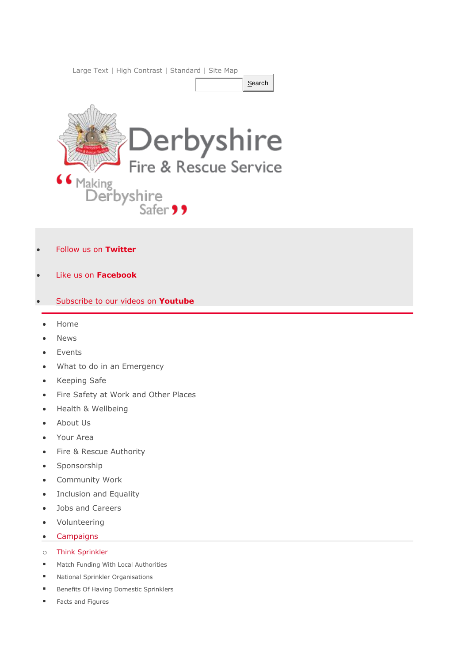[Large Text](http://www.derbys-fire.gov.uk/style-switcher.php?style=style_largetext) | [High Contrast](http://www.derbys-fire.gov.uk/style-switcher.php?style=style_highcontrast) | [Standard](http://www.derbys-fire.gov.uk/style-switcher.php?style=style_normaltext) | [Site Map](http://www.derbys-fire.gov.uk/sitemap)



- [Follow us on](https://twitter.com/DerbyshireFRS) **Twitter**
- [Like us on](http://www.facebook.com/DerbyshireFRS) **Facebook**
- [Subscribe to our videos on](http://www.youtube.com/user/DerbysFireAndRescue) **Youtube**
	- [Home](http://www.derbys-fire.gov.uk/)
	- [News](http://www.derbys-fire.gov.uk/news/)
	- [Events](http://www.derbys-fire.gov.uk/events/)
	- [What to do in an Emergency](http://www.derbys-fire.gov.uk/what-do-emergency/)
	- [Keeping Safe](http://www.derbys-fire.gov.uk/keeping-safe/)
	- [Fire Safety at Work and Other Places](http://www.derbys-fire.gov.uk/business-safety/)
	- [Health & Wellbeing](http://www.derbys-fire.gov.uk/health-wellbeing/)
	- [About Us](http://www.derbys-fire.gov.uk/about-us-our-vision/)
	- [Your Area](http://www.derbys-fire.gov.uk/fire-stations/)
	- [Fire & Rescue Authority](http://www.derbys-fire.gov.uk/derbyshire-fire-and-rescue-authority/)
	- [Sponsorship](http://www.derbys-fire.gov.uk/sponsorship/)
	- [Community Work](http://www.derbys-fire.gov.uk/community-work/)
	- [Inclusion and Equality](http://www.derbys-fire.gov.uk/inclusion-and-equality/)
	- [Jobs and Careers](http://www.derbys-fire.gov.uk/jobs-and-careers/)
	- [Volunteering](http://www.derbys-fire.gov.uk/volunteering/)
	- [Campaigns](http://www.derbys-fire.gov.uk/campaigns/)
	- o [Think Sprinkler](http://www.derbys-fire.gov.uk/campaigns/think-sprinkler/)
	- **[Match Funding With Local Authorities](http://www.derbys-fire.gov.uk/campaigns/think-sprinkler/match-funding-local-authorities/)**
	- **[National Sprinkler Organisations](http://www.derbys-fire.gov.uk/campaigns/think-sprinkler/national-sprinkler-organisations/)**
	- **Benefits [Of Having Domestic Sprinklers](http://www.derbys-fire.gov.uk/campaigns/think-sprinkler/benefits-having-domestic-sprinklers/)**
	- [Facts and Figures](http://www.derbys-fire.gov.uk/campaigns/think-sprinkler/facts-and-figures/)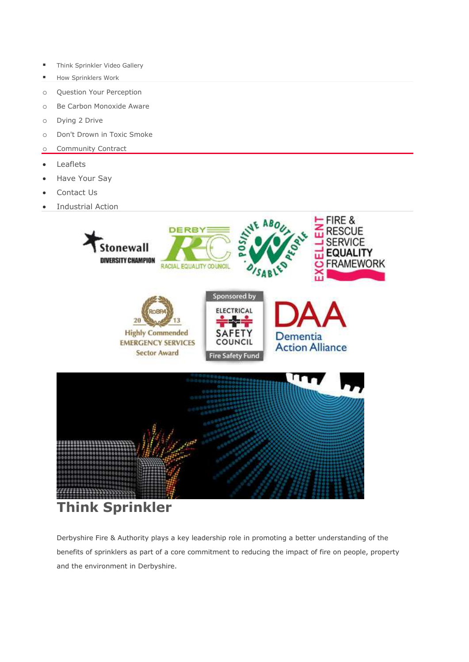- **[Think Sprinkler Video Gallery](http://www.derbys-fire.gov.uk/campaigns/think-sprinkler/think-sprinkler-video-gallery/)**
- [How Sprinklers Work](http://www.derbys-fire.gov.uk/campaigns/think-sprinkler/how-sprinklers-work/)
- o [Question Your Perception](http://www.derbys-fire.gov.uk/campaigns/question-your-perception/)
- o [Be Carbon Monoxide Aware](http://www.derbys-fire.gov.uk/campaigns/dont-drown-toxic-smoke/)
- o [Dying 2 Drive](http://www.derbys-fire.gov.uk/campaigns/dying-2-drive/)
- o [Don't Drown in Toxic Smoke](http://www.derbys-fire.gov.uk/campaigns/dont-drown-toxic-smoke1/)
- o [Community Contract](http://www.derbys-fire.gov.uk/campaigns/community-contract/)
- [Leaflets](http://www.derbys-fire.gov.uk/leaflets/)
- [Have Your Say](http://www.derbys-fire.gov.uk/have-your-say/)
- [Contact Us](http://www.derbys-fire.gov.uk/contact-us/)
- [Industrial Action](http://www.derbys-fire.gov.uk/industrial-action/)



Derbyshire Fire & Authority plays a key leadership role in promoting a better understanding of the benefits of sprinklers as part of a core commitment to reducing the impact of fire on people, property and the environment in Derbyshire.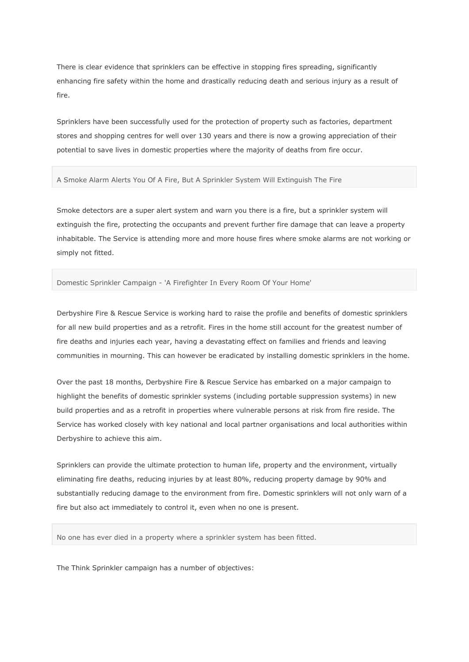There is clear evidence that sprinklers can be effective in stopping fires spreading, significantly enhancing fire safety within the home and drastically reducing death and serious injury as a result of fire.

Sprinklers have been successfully used for the protection of property such as factories, department stores and shopping centres for well over 130 years and there is now a growing appreciation of their potential to save lives in domestic properties where the majority of deaths from fire occur.

## A Smoke Alarm Alerts You Of A Fire, But A Sprinkler System Will Extinguish The Fire

Smoke detectors are a super alert system and warn you there is a fire, but a sprinkler system will extinguish the fire, protecting the occupants and prevent further fire damage that can leave a property inhabitable. The Service is attending more and more house fires where smoke alarms are not working or simply not fitted.

## Domestic Sprinkler Campaign - 'A Firefighter In Every Room Of Your Home'

Derbyshire Fire & Rescue Service is working hard to raise the profile and benefits of domestic sprinklers for all new build properties and as a retrofit. Fires in the home still account for the greatest number of fire deaths and injuries each year, having a devastating effect on families and friends and leaving communities in mourning. This can however be eradicated by installing domestic sprinklers in the home.

Over the past 18 months, Derbyshire Fire & Rescue Service has embarked on a major campaign to highlight the benefits of domestic sprinkler systems (including portable suppression systems) in new build properties and as a retrofit in properties where vulnerable persons at risk from fire reside. The Service has worked closely with key national and local partner organisations and local authorities within Derbyshire to achieve this aim.

Sprinklers can provide the ultimate protection to human life, property and the environment, virtually eliminating fire deaths, reducing injuries by at least 80%, reducing property damage by 90% and substantially reducing damage to the environment from fire. Domestic sprinklers will not only warn of a fire but also act immediately to control it, even when no one is present.

No one has ever died in a property where a sprinkler system has been fitted.

The Think Sprinkler campaign has a number of objectives: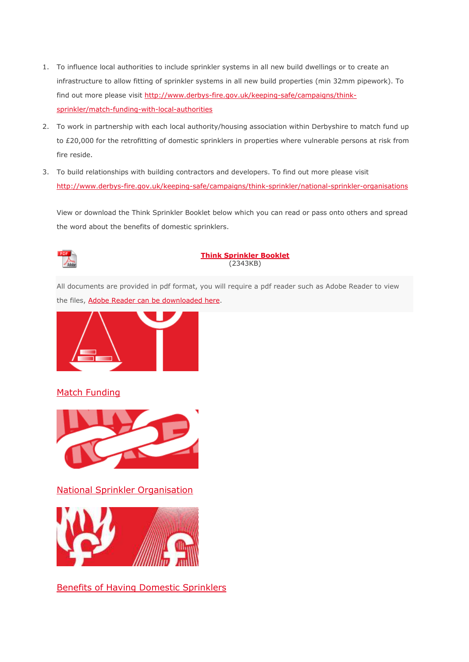- 1. To influence local authorities to include sprinkler systems in all new build dwellings or to create an infrastructure to allow fitting of sprinkler systems in all new build properties (min 32mm pipework). To find out more please visit [http://www.derbys-fire.gov.uk/keeping-safe/campaigns/think](http://www.derbys-fire.gov.uk/campaigns/think-sprinkler/match-funding-local-authorities/)[sprinkler/match-funding-with-local-authorities](http://www.derbys-fire.gov.uk/campaigns/think-sprinkler/match-funding-local-authorities/)
- 2. To work in partnership with each local authority/housing association within Derbyshire to match fund up to £20,000 for the retrofitting of domestic sprinklers in properties where vulnerable persons at risk from fire reside.
- 3. To build relationships with building contractors and developers. To find out more please visit [http://www.derbys-fire.gov.uk/keeping-safe/campaigns/think-sprinkler/national-sprinkler-organisations](http://www.derbys-fire.gov.uk/campaigns/think-sprinkler/national-sprinkler-organisations/)

View or download the Think Sprinkler Booklet below which you can read or pass onto others and spread the word about the benefits of domestic sprinklers.



## **[Think Sprinkler Booklet](http://www.derbys-fire.gov.uk/index.php/download_file/776/628/)** (2343KB)

All documents are provided in pdf format, you will require a pdf reader such as Adobe Reader to view the files, [Adobe Reader can be downloaded here.](http://get.adobe.com/uk/reader/)



## [Match Funding](http://www.derbys-fire.gov.uk/campaigns/think-sprinkler/match-funding-local-authorities)



[National Sprinkler Organisation](http://www.derbys-fire.gov.uk/campaigns/think-sprinkler/national-sprinkler-organisations) 



[Benefits of Having Domestic Sprinklers](http://www.derbys-fire.gov.uk/campaigns/think-sprinkler/benefits-having-domestic-sprinklers)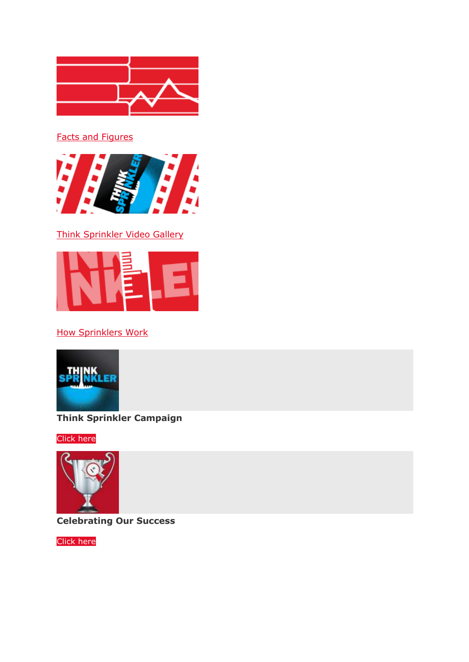

[Facts and Figures](http://www.derbys-fire.gov.uk/campaigns/think-sprinkler/facts-and-figures) 



[Think Sprinkler Video Gallery](http://www.derbys-fire.gov.uk/campaigns/think-sprinkler/think-sprinkler-video-gallery) 



[How Sprinklers Work](http://www.derbys-fire.gov.uk/campaigns/think-sprinkler/how-sprinklers-work) 



**Think Sprinkler Campaign**

[Click here](http://www.derbys-fire.gov.uk/!trash/think-sprinkler1/)



**Celebrating Our Success**

[Click here](http://www.derbys-fire.gov.uk/about-us-our-vision/our-corporate-plans-and-performance-information/our-achievements/)